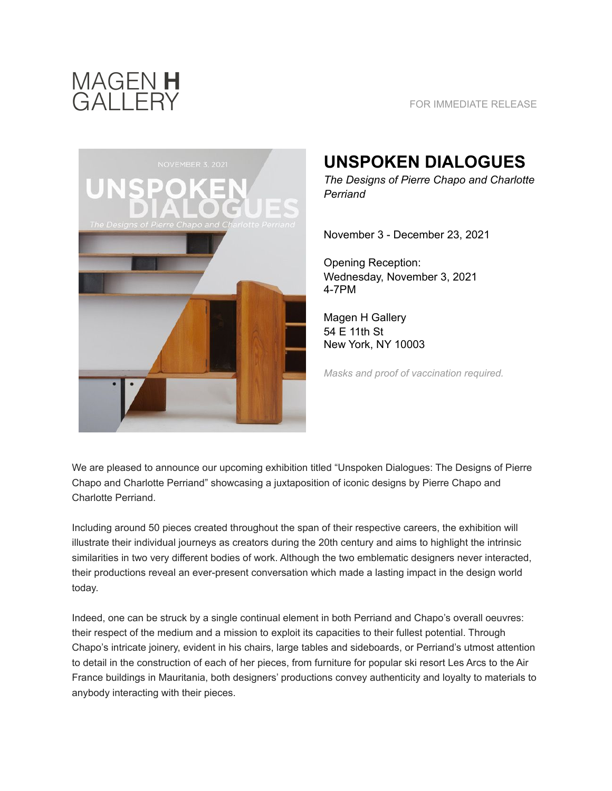

## FOR IMMEDIATE RELEASE



## **UNSPOKEN DIALOGUES**

*The Designs of Pierre Chapo and Charlotte Perriand* 

November 3 - December 23, 2021

Opening Reception: Wednesday, November 3, 2021 4-7PM

Magen H Gallery 54 E 11th St New York, NY 10003

*Masks and proof of vaccination required.* 

We are pleased to announce our upcoming exhibition titled "Unspoken Dialogues: The Designs of Pierre Chapo and Charlotte Perriand" showcasing a juxtaposition of iconic designs by Pierre Chapo and Charlotte Perriand.

Including around 50 pieces created throughout the span of their respective careers, the exhibition will illustrate their individual journeys as creators during the 20th century and aims to highlight the intrinsic similarities in two very different bodies of work. Although the two emblematic designers never interacted, their productions reveal an ever-present conversation which made a lasting impact in the design world today.

Indeed, one can be struck by a single continual element in both Perriand and Chapo's overall oeuvres: their respect of the medium and a mission to exploit its capacities to their fullest potential. Through Chapo's intricate joinery, evident in his chairs, large tables and sideboards, or Perriand's utmost attention to detail in the construction of each of her pieces, from furniture for popular ski resort Les Arcs to the Air France buildings in Mauritania, both designers' productions convey authenticity and loyalty to materials to anybody interacting with their pieces.